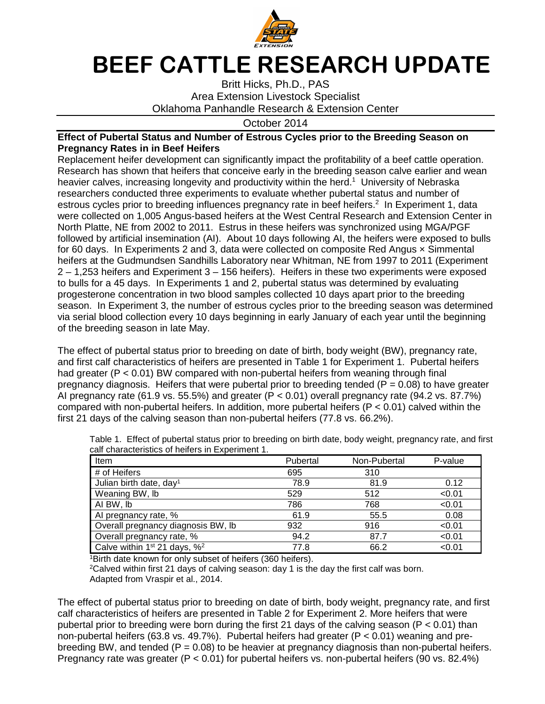

## **BEEF CATTLE RESEARCH UPDATE**

Britt Hicks, Ph.D., PAS Area Extension Livestock Specialist Oklahoma Panhandle Research & Extension Center

## October 2014

## **Effect of Pubertal Status and Number of Estrous Cycles prior to the Breeding Season on Pregnancy Rates in in Beef Heifers**

Replacement heifer development can significantly impact the profitability of a beef cattle operation. Research has shown that heifers that conceive early in the breeding season calve earlier and wean heavier calves, increasing longevity and productivity within the herd.<sup>1</sup> University of Nebraska researchers conducted three experiments to evaluate whether pubertal status and number of estrous cycles prior to breeding influences pregnancy rate in beef heifers.<sup>2</sup> In Experiment 1, data were collected on 1,005 Angus-based heifers at the West Central Research and Extension Center in North Platte, NE from 2002 to 2011. Estrus in these heifers was synchronized using MGA/PGF followed by artificial insemination (AI). About 10 days following AI, the heifers were exposed to bulls for 60 days. In Experiments 2 and 3, data were collected on composite Red Angus x Simmental heifers at the Gudmundsen Sandhills Laboratory near Whitman, NE from 1997 to 2011 (Experiment 2 – 1,253 heifers and Experiment 3 – 156 heifers). Heifers in these two experiments were exposed to bulls for a 45 days. In Experiments 1 and 2, pubertal status was determined by evaluating progesterone concentration in two blood samples collected 10 days apart prior to the breeding season. In Experiment 3, the number of estrous cycles prior to the breeding season was determined via serial blood collection every 10 days beginning in early January of each year until the beginning of the breeding season in late May.

The effect of pubertal status prior to breeding on date of birth, body weight (BW), pregnancy rate, and first calf characteristics of heifers are presented in Table 1 for Experiment 1. Pubertal heifers had greater (P < 0.01) BW compared with non-pubertal heifers from weaning through final pregnancy diagnosis. Heifers that were pubertal prior to breeding tended ( $P = 0.08$ ) to have greater AI pregnancy rate (61.9 vs. 55.5%) and greater ( $P < 0.01$ ) overall pregnancy rate (94.2 vs. 87.7%) compared with non-pubertal heifers. In addition, more pubertal heifers  $(P < 0.01)$  calved within the first 21 days of the calving season than non-pubertal heifers (77.8 vs. 66.2%).

| <b>Item</b>                                          | Pubertal | Non-Pubertal | P-value |
|------------------------------------------------------|----------|--------------|---------|
| # of Heifers                                         | 695      | 310          |         |
| Julian birth date, day <sup>1</sup>                  | 78.9     | 81.9         | 0.12    |
| Weaning BW, lb                                       | 529      | 512          | < 0.01  |
| AI BW, Ib                                            | 786      | 768          | < 0.01  |
| Al pregnancy rate, %                                 | 61.9     | 55.5         | 0.08    |
| Overall pregnancy diagnosis BW, Ib                   | 932      | 916          | < 0.01  |
| Overall pregnancy rate, %                            | 94.2     | 87.7         | < 0.01  |
| Calve within 1 <sup>st</sup> 21 days, % <sup>2</sup> | 77.8     | 66.2         | < 0.01  |

Table 1. Effect of pubertal status prior to breeding on birth date, body weight, pregnancy rate, and first calf characteristics of heifers in Experiment 1.

<sup>1</sup>Birth date known for only subset of heifers (360 heifers).

 $2$ Calved within first 21 days of calving season: day 1 is the day the first calf was born. Adapted from Vraspir et al., 2014.

The effect of pubertal status prior to breeding on date of birth, body weight, pregnancy rate, and first calf characteristics of heifers are presented in Table 2 for Experiment 2. More heifers that were pubertal prior to breeding were born during the first 21 days of the calving season ( $P < 0.01$ ) than non-pubertal heifers (63.8 vs. 49.7%). Pubertal heifers had greater ( $P < 0.01$ ) weaning and prebreeding BW, and tended ( $P = 0.08$ ) to be heavier at pregnancy diagnosis than non-pubertal heifers. Pregnancy rate was greater ( $P < 0.01$ ) for pubertal heifers vs. non-pubertal heifers (90 vs. 82.4%)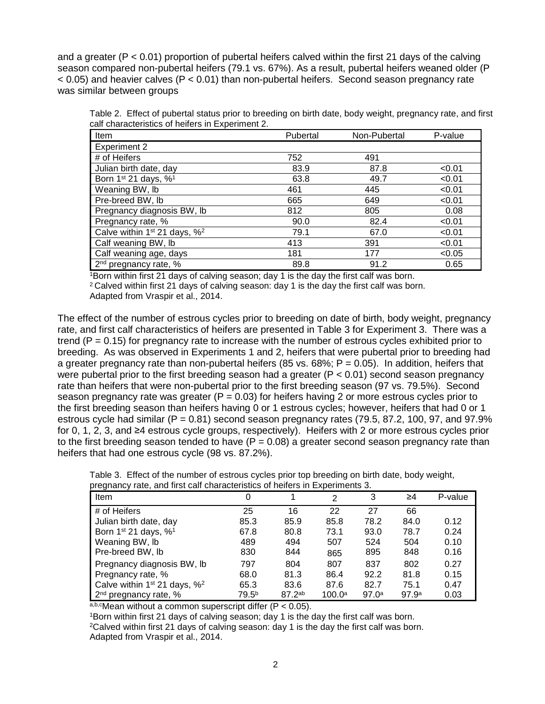and a greater (P < 0.01) proportion of pubertal heifers calved within the first 21 days of the calving season compared non-pubertal heifers (79.1 vs. 67%). As a result, pubertal heifers weaned older (P  $<$  0.05) and heavier calves (P  $<$  0.01) than non-pubertal heifers. Second season pregnancy rate was similar between groups

| Table 2. Effect of pubertal status prior to breeding on birth date, body weight, pregnancy rate, and first |  |  |  |  |  |  |
|------------------------------------------------------------------------------------------------------------|--|--|--|--|--|--|
| calf characteristics of heifers in Experiment 2.                                                           |  |  |  |  |  |  |

| Item                                                 | Pubertal | Non-Pubertal | P-value |
|------------------------------------------------------|----------|--------------|---------|
| <b>Experiment 2</b>                                  |          |              |         |
| # of Heifers                                         | 752      | 491          |         |
| Julian birth date, day                               | 83.9     | 87.8         | < 0.01  |
| Born 1 <sup>st</sup> 21 days, % <sup>1</sup>         | 63.8     | 49.7         | < 0.01  |
| Weaning BW, lb                                       | 461      | 445          | < 0.01  |
| Pre-breed BW, lb                                     | 665      | 649          | < 0.01  |
| Pregnancy diagnosis BW, lb                           | 812      | 805          | 0.08    |
| Pregnancy rate, %                                    | 90.0     | 82.4         | < 0.01  |
| Calve within 1 <sup>st</sup> 21 days, % <sup>2</sup> | 79.1     | 67.0         | < 0.01  |
| Calf weaning BW, lb                                  | 413      | 391          | < 0.01  |
| Calf weaning age, days                               | 181      | 177          | < 0.05  |
| 2 <sup>nd</sup> pregnancy rate, %                    | 89.8     | 91.2         | 0.65    |

<sup>1</sup>Born within first 21 days of calving season; day 1 is the day the first calf was born.

<sup>2</sup>Calved within first 21 days of calving season: day 1 is the day the first calf was born.

Adapted from Vraspir et al., 2014.

The effect of the number of estrous cycles prior to breeding on date of birth, body weight, pregnancy rate, and first calf characteristics of heifers are presented in Table 3 for Experiment 3. There was a trend  $(P = 0.15)$  for pregnancy rate to increase with the number of estrous cycles exhibited prior to breeding. As was observed in Experiments 1 and 2, heifers that were pubertal prior to breeding had a greater pregnancy rate than non-pubertal heifers (85 vs.  $68\%$ ; P = 0.05). In addition, heifers that were pubertal prior to the first breeding season had a greater  $(P < 0.01)$  second season pregnancy rate than heifers that were non-pubertal prior to the first breeding season (97 vs. 79.5%). Second season pregnancy rate was greater ( $P = 0.03$ ) for heifers having 2 or more estrous cycles prior to the first breeding season than heifers having 0 or 1 estrous cycles; however, heifers that had 0 or 1 estrous cycle had similar ( $P = 0.81$ ) second season pregnancy rates (79.5, 87.2, 100, 97, and 97.9% for 0, 1, 2, 3, and ≥4 estrous cycle groups, respectively). Heifers with 2 or more estrous cycles prior to the first breeding season tended to have  $(P = 0.08)$  a greater second season pregnancy rate than heifers that had one estrous cycle (98 vs. 87.2%).

|  |  | Table 3. Effect of the number of estrous cycles prior top breeding on birth date, body weight, |  |  |  |  |
|--|--|------------------------------------------------------------------------------------------------|--|--|--|--|
|  |  | pregnancy rate, and first calf characteristics of heifers in Experiments 3.                    |  |  |  |  |

| programs rate, and mot can characteristics or neiters in Experiments of |                   |             |                    |                   |                   |         |  |  |  |
|-------------------------------------------------------------------------|-------------------|-------------|--------------------|-------------------|-------------------|---------|--|--|--|
| Item                                                                    | 0                 |             | 2                  | 3                 | ≥4                | P-value |  |  |  |
| # of Heifers                                                            | 25                | 16          | 22                 | 27                | 66                |         |  |  |  |
| Julian birth date, day                                                  | 85.3              | 85.9        | 85.8               | 78.2              | 84.0              | 0.12    |  |  |  |
| Born 1 <sup>st</sup> 21 days, % <sup>1</sup>                            | 67.8              | 80.8        | 73.1               | 93.0              | 78.7              | 0.24    |  |  |  |
| Weaning BW, Ib                                                          | 489               | 494         | 507                | 524               | 504               | 0.10    |  |  |  |
| Pre-breed BW, Ib                                                        | 830               | 844         | 865                | 895               | 848               | 0.16    |  |  |  |
| Pregnancy diagnosis BW, lb                                              | 797               | 804         | 807                | 837               | 802               | 0.27    |  |  |  |
| Pregnancy rate, %                                                       | 68.0              | 81.3        | 86.4               | 92.2              | 81.8              | 0.15    |  |  |  |
| Calve within $1st 21$ days, $%^2$                                       | 65.3              | 83.6        | 87.6               | 82.7              | 75.1              | 0.47    |  |  |  |
| 2 <sup>nd</sup> pregnancy rate, %                                       | 79.5 <sup>b</sup> | $87.2^{ab}$ | 100.0 <sup>a</sup> | 97.0 <sup>a</sup> | 97.9 <sup>a</sup> | 0.03    |  |  |  |

 $a,b,c$ Mean without a common superscript differ (P < 0.05).

<sup>1</sup>Born within first 21 days of calving season; day 1 is the day the first calf was born.  $2$ Calved within first 21 days of calving season: day 1 is the day the first calf was born. Adapted from Vraspir et al., 2014.